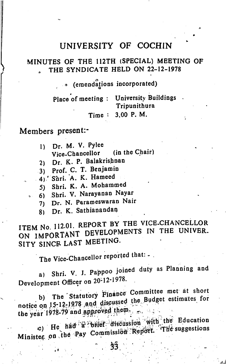### UNIVERSITY OF COCHIN

#### MINUTES OF THE 112TH (SPECIAL) MEETING OF THE SYNDICATE HELD ON 22-12-1978

o (emendations incorporated)

Place of meeting : University Buildings **Tripunithura** 3.00 P. M. Time :

Members present:-

- 1) Dr. M. V. Pylee Vice-Chancellor (in the C hair)
- 2) Dr. K. P. Balakrishnan
- 3) Prof. C. T. Benjamin
- 
- 4) Shri. A. K. Hameed<br>5) Shri. K. A. Mohammed
- 5) Shri. K. A. Mohammed<br>6) Shri. V. Narayanan Nayar
	- 7) Dr. N. Parameswaran Nair
	- Dr. K. Sathianandan 8)

ITEM No. 112.01. REPORT BY THE VICE-CHANCELLOR ON IMPORTANT DEVELOPMENTS IN THE UNIVER. SITY SINCE LAST MEETING.

The Vice-Chancellor reported that: -.

Shri. V. J. Pappoo joined duty as Planning and Development Officer on 20-12-1976. a)

b) The Statutory Finance Committee met at short notice on b)

the year 1978-75 and  $s_{\text{eff}}$ .  $\frac{1}{2}$  is  $\frac{1}{2}$  with the Education <sup>r</sup>The suggestions  $\frac{1}{\log n}$  on the Pay Commission Rep Minister on the ray  $\frac{33}{3}$ .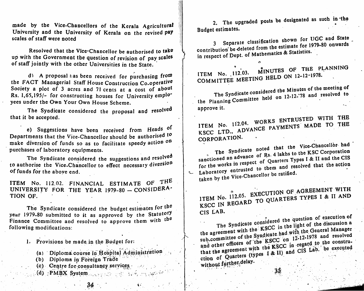made by the Vice-Chancellors of the Kerala Agricultural University and the University of Kerala on the revised pay scales of staff were noted

Resolved that the Vice-Chancellor be authorised to take up with the Government the question of revision of pay scales of staff jointly with the other Universities in the State.

d) A proposal has been received for purchasing from the FACT Managerial Staff House Construction Co-operative Society a plot of 3 acres and 71 cents at a cost of about Rs. 1,65,195/- for constructing houses for University emplo' yees under the Own Your Own House Scheme.

The Syndicate considered the proposal and resolved that it be accepted,

e) Suggestions have been received from Heads of Departments that the Vice-Chancellor should be authorised to make diversion of funds so as to facilitate speedy action on purchases of laboratory equipments.

The Syndicate considered the suggestions and resolved to authorise the Vice-Chancellor to effect necessary diversion of funds for the aboye end.

ITEM No. 112.02. FINANCIAL ESTIMATE OF THE UNIVERSITY FOR THE YEAR 1979-80 — CONSIDERA TION OF.

The Syndicate considered the budget estimates for the year 1979-80 submitted to it as approved by the Statutory Finance Committee and resolved to approve them with the following modifications:

I, Provisions be made.in the Budget for:

- (a) Diploma course in Hospital Administration
- (b) Diploma in Foreign Trade
- (c) Centre for consultancy services,  $\frac{1}{2}$
- (d) PMBX System . , ;; v: i. . 0:

34

2. The upgraded posts be designated as such in the Budget estimates.

3 Separate classification shown for UGC and State<br>contribution be deleted from the estimate for 1979-80 onwards in respect of Dept. of Mathematics & Statistics.

minutes of the planning ITEM No. 112.03. MINOTED ON 12-12-1978. COMMITTEE MEETING

The Syndicate considered the Minutes of the meeting of The Syndicate considered on 12-12-78 and resolved to the Planning Committee approve it.

ITEM No. 112.04. WORKS ENTRUSTED WITH THE<br>ITEM No. 112.04. WORKS ENTRUSTED WITH THE payments made to the KSCC LTD.. ADVANCE CORPORATION.

The Syndicate noted that the Vice-Chancellor had sanctioned an advance of Rs. 4 lakhs to the KSC Corporation shipped and the CIS for the works in respect of Quarters Types I & II and the CIS Laboratory entrusted to them and resolved that the action<br>taken by the Vice-Chancellor be ratified.

ITEM No. 112.05. EXECUTION OF AGREEMENT WITH ITEM No.  $112.05$ .  $27.000$  QUARTERS TYPES I & II AND KSCC IN REGARU CIS LAB.

sidered the question  $\alpha$  and discussion a The Syndicate consider the light of the discussion  $\alpha$ the agreement with the KSCC in the light of the discussion a<br>sub-committee of the Syndicate had with the General Manager<br>and other officers of the KSCC on 12-12-1978 and resolved<br>that the agreement with the KSCC in regard the agreement with the syndicate had with the General Manager<br>sub-committee of the Syndicate had with the General Manager<br>and other officers of the KSCC in regard to the construthat the agreement of Quarters (types  $\pm \alpha$  b) and  $\pm \alpha$ <br>without further delay. without further delay.

 $35.$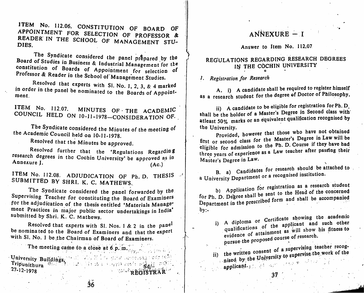ITEM No. 112.06. CONSTITUTION OF BOARD OF APPOINTMENT FOR SELECTION OF PROFESSOR & READER IN THE SCHOOL OF MANAGEMENT STIL DIES.  $\frac{1}{2}$  Second of MANAGEMENT STU-

The Syndicate considered the panel prepared by the Board of Studies in Business & Industrial Management for the constitution of Boards of Appointment for selection of Professor  $\&$  Reader in the School of Messor in the  $\&$ eader in the School of Management Studies.

Resolved that experts with SI. No. 1, 2, 3, & 4 marked in order in the panel be nominated to the Boards of Appointment.

ITEM No. 112.07.  $r = \frac{1}{2}$ .  $12.07$ . MINUTES OF THE ACADEMIC COUNCIL HELD ON lO-l 1-1978—CONSIDERATION OF. ,

The Syndicate considered the Minutes of the meeting of the Academic Council held on 10-11-1978.

Resolved that the Minutes be approved.

Resolved further that the 'Regulations Regarding research degrees in the Cochin University' be approved as in<br>Annexure J. (Ac.) Annexure J.<br>
(Ac.) (Ac.) (Ac.) (Ac.) (Ac.)

ITEM No. 112.08. ADJUDICATION OF Ph. D. THESIS  $\mathbb{R}^t$ SUBMITTED BY SHRI. K. C. MATHEWS.

The Syndicate considered the panel forwarded by the Supervising Teacher for constituting the Board, of Examiners for the adjudication of the thesis entitled 'Materials Manage ment Practices in major public sector undertakings in India' submitted by Shri. K. C. Mathews.

Resolved that experts with SI. Nos. 1 & 2 in the pane be nominated to the Board of Examiners and that the expert with Sl. No. 1 be the Chairman of Board of Examiners.

The meeting came to a close at 6 p.m.

University Buildings,  $\frac{1}{2}$  Tripunithura  $\frac{1}{2}$   $\frac{1}{2}$   $\frac{1}{2}$   $\frac{1}{2}$   $\frac{1}{2}$   $\frac{1}{2}$   $\frac{1}{2}$   $\frac{1}{2}$   $\frac{1}{2}$   $\frac{1}{2}$   $\frac{1}{2}$   $\frac{1}{2}$   $\frac{1}{2}$   $\frac{1}{2}$   $\frac{1}{2}$   $\frac{1}{2}$   $\frac{1}{2}$   $\frac{1}{2}$   $\frac{1}{2}$   $\frac{1}{2}$ 27-12-1978 , If  $\mathbb{C}^n$  and  $\mathbb{C}^n$  are  $\mathbb{C}^n$  and  $\mathbb{C}^n$ 

# $ANNEXURE - I$

#### Answer to Item No. 112.07

## REGULATIONS REGARDING RESEARCH DEGREES IN THE COCHIN UNIVERSITY

1. Registration for Research

A. i) A candidate shall be required to register himself as a research student for the degree of Doctor of Philosophy.

ii) A candidate to be eligible for registration for  $\mathbf{r} \mathbf{n}$ . shall be the holder of a Master's Degree in Second class with atleast 50% marks or an equivalent qualification recognised by the University.

Provided, however that those who have not obtained Provided, however that those who have not obtained eligible for admission to the Ph. D. Course if they have had eligible for admission to the t.p. Soulter their end of the formulation their three years of experience as a Law teacher after passing their Master's Degree in Law. or

for research should be attached to . a University Department or a recognised institution.

b) Application for registration as a research student for Ph. D. Degree shall be sent to the Head of the concerned for Ph. D. Degree suality and shall be accompanied Department in the presence  $\overline{\phantom{a}}$  $by:$ 

i) A diploma or Certificate showing the academic<br>qualifications of the applicant and such other qualifications of the applicant and such other<br>qualifications of the applicant and such other

ent of a supervising teacher recogii) nised by the University to supervise the work of the applicant.

37

 $\overline{36}$ 

REGISTRAR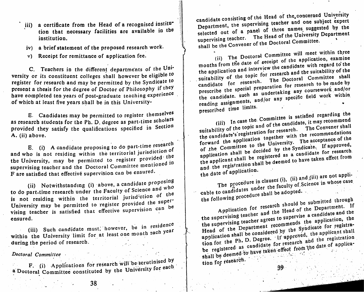- iii) a certificate from the Head of a recognised institution that necessary facilities are available in the institution,
- iv) a brief statement of the proposed research work,
- v) Receipt for remittance of application fee.

C. Teachers in the different departments of the University or its constituent colleges shall however be eligible to register for research and may be permitted by the Syndicate to<br>is they present a thesis for the degree of Doctor of Philosophy if they have eompleted ten years of post-graduate teaching experience of which at least five years shall be in this University-

E. Candidates may be permitted to register themselves as research students for the Ph. D. degree as part-time scholars provided they satisfy the qualifications specified in Section A. (ii) above.

E. (i) A candidate proposing to do part-time research<br>is and position within the territorial jurisdiction of and who is not residing within the territorial jurisdiction  $\sigma$ the University, may be permitted to register provided the supervising teacher and the Doctoral Committee mentioned in F are satisfied that effective supervision can be ensured.

(ii) Notwithstanding (i) above, a candidate  $\frac{1}{2}$  proposition to do part-time research under the Faculty of Science and who of the is not residing within the territorial jurisd'Ction of University may be permitted to register provided the same vising teacher is satisfied that effective supervision  $\mathbb{Z}$ ensured.

(iii) Such candidate must, however, be in residence within the University limit for at least one month each year during the period of research.

#### Doctoral Committee

F. (i) Applications for research will be serutinised by a Doctoral Committee constituted by the University for each

candidate consisting of the Head of the concerned University the supervising teacher and one  $s_{\text{measured}}$  by the selected out of a panel of three names suggested by the candidate consisting supervising teacher. The Head of the University Department supervising teacher. The Little of the Doctoral Committee. shall be the Convener

(ii) The Doctoral Committee will meet within three<br>months from the date of seceipt of the application, examine the application and interview the candidate with regard to the suitability of the topic for research and the suitability of the candidate for research. The Doctoral Committee shall prescribe the special preparation for researeh to be made by present the special and the special and the special and of the candidate, such as undertaking any coursework and/or reading assignments, and/or any specific field work within<br>prescribed time limits.<br>(iii) In case the Committee is satisfied regarding the prescribed these limits.

suitability of the topic and of the candidate, it may recommend<br>the candidate's registration for research. The Convener shall<br>forward the application together with the recommendations the candidate's registration for with the recommendations<br>forward the application together with the recommendations<br>of the Committee to the University. The acceptance of the<br>of the Committee to the University. The acceptan forward the application of the University. The acceptance of the<br>of the Committee to the University. If approved,<br>application shall be decided by the Syndicate. If approved,<br>application shall be registered as a candidate f of the Committee to the Syndicate. If application<br>application shall be decided by the Syndicate. If applicant<br>the applicant shall be registered as a candidate for research<br>the applicant shall be deemed to have taken effect

the date of

■u.

The procedure in clauses (i), (ii) and (iii) are not applicable to candidates under the faculty of Science in whose case the following procedure shall be adopted.

the supervising teacher agrees to supervise a candidate and the Head of the Department recommends the application, the application shall be considered by the Syndicate for registra-Application for research should be submitted through<br>the supervising teacher and the Head of the Department. If tion for research. tion for the Ph. D. Degree. It approved, the applicant shall be registered as candidate for research and the registration shall be deemed to have taken effect from the date of applica-

39.

38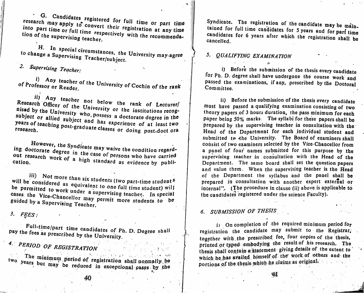<sup>\*</sup> G. Candidates registered for full time or part time research may apply into part time or full time respective tion of the supervising teachers respectively with the recommendasupervising to convert their registration at any time<br>ime or full time respectively with the recommenda-<br>supervising teacher.

to change a Supervising Teachertes. oge a Supervising Teacher/subject. H. In special circumstances, the University may-agree <br>nge a Supervising Teachartant:

2- Supervising Teacher:

i) Any teacher of the University of Cochin of the rank . Committee. of Professor or Reader.

research Officer of the University or the leads of Lecturer/ nised by the University who possess a deal institutions recogsubject or allied subject and has experience of a limitation years of teaching post-graduate classes as it. years of teaching post-graduate classes or doing post-doct ora

acwever, the Syndicate may waive the condition regardng doctorate degree i out research work of a high aten is resons who have carried out research work of a high standard as evidence by publi-<br>cation.

iii) Not more than six students (two part-time student<sup>s</sup> will be considered as equivalent to one full time student) will be permitted to work under a supervising teach will under the student) will cases the Vice-Chancellor may permit  $\frac{1}{2}$  reacher. In special cases the Vice-Chancellor may permit more students to be guided by a Supervising Teacher

Full-time/part time candidates of Ph D Decree shall fractively pay the fees as the candidates of Ph. D. Degree shall<br>red by the University prescribed by the University.

4. PERIOD OF REGISTRATION

years but may be reduced in exceptional cases by the reduced in exceptional cases by the two uced in exceptional cases by the The minimum period of registration shall normally be Syndicate. The registration of the candidate may be maintained for full time candidates for 5 years and for part time  $t_{\text{ref}}$  for full time candidates for 5 years and for part time cancelled.  $\blacksquare$ 

i) Before the submission of the thesis every candidate for Ph. D. degree shall have undergone the course work and passed the examinations, if any, prescribed by the Doctoral

ii) Before the submission of the thesis every candidate must have passed a qualifying examination consisting of two theory papers of 3 hours duration, the pass minimum for each paper being 50% marks. The syllabi for these papers shall be prepared by the supervising teacher in consultation with the Head of the Department for each individual student and submitted to the University. The Board of examiners shall consist of two examiners selected by the Vice-Chancellor from a panel of four names submitted for this purpose by the supervising teacher in consultation with the Head of the Department. The same board shall set the question papers and value them. When the supervising teacher is the Head of the Department the syllabus and the panel shall be prepared in consultation with another expert external or  $interval$ . (The procedure in clause (ii) above is applicable to the candidates registered under the science Faculty).

# $6.$  SUBMISSION OF THESIS

On completion of the required minimum period for registration the candidate may submit to the Registrar, together with the prescribed fee, four copies of the thesis, printed or typed embodying the result of his research. The thesis shall contain a Statement giving details of the extent to' ' which he has availed himself of the work of others and the portions of the thesis-which he claims as original.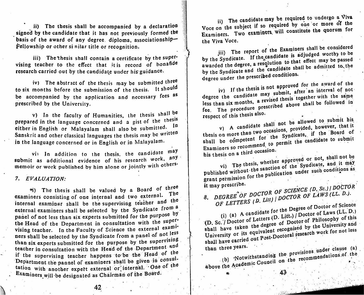ii) The thesis shall be accompanied by a declaration signed by the candidate that it has not previously formed the basis of the award of any degree, diploma, associationship— Fellowship or other si nilar title or recognition,

iii) The thesis shall contain a certificate by the supervising teacher to the effect that jt is record of bonafide research carried out by the candidate under his guidance.

iv) The abstract of the thesis may be submitted three to six months before the submission of the thesis. It should be accompanied by the application and necessary fees <sup>as</sup> prescribed by the University.

v) In the faculty of Humanities, the thesis shall be prepared in the language concerned and a gist of the thesis either in English or Malayalam shall also be submitted. Sanskrit and other classical languages the thesis may be written in the language concerned or in English or in Malayalam. in

vi) In addition to the thesis, the candidate  $\text{may}$ submit as additional evidence of his research work, any memoir or work published by him alone or jointly with others.

7. EVALUATION:

(a) The thesis shall be valued by a Board of three examiners consisting of one internal and two external. The internal examinar shall be the supervising teacher and the external examiners shall be selected by the Syndicate from a panel of not less than six experts submitted for the purpose by the Head of the Department in consultation with the supervising teacher. In the Faculty of Science the external examiners shall be selected by the Syndicate from a panel of not less<br>than six experts submitted for the purpose by the supervising than six experts submitted for the purpose by the supervisional state. teacher in consultation with the Head of the Department and if the supervising teacher happens to be the Head of the Department the pannel of examiners shall be given in consultation with another expert external or internal. One of the Examiners will be designated as Chairman of the Board.

The candidate may be required to undergo. the subject if so required by  $\frac{1}{2}$  constitute the quorum for Two examiners, will constitute the quote  $\ddot{\phantom{0}}$ Voce on Examiners the Viva Voce.

jii) The report of the Examiners shall be considered by the Syndicate. If the candidate is adjudged worthy to be awarded the degree, a resolution to that effect may be passed by the Syndicate and the candidate shall be admitted to the by the Syndicate and the candegree under the presence conditions.

iv) If the thesis is not approved for the award of the  $iv$  If the thesis is not approximate in interval of not<br>the candidate may submit, after an interval of not thesis together with the same shall be followed in degree the candidate may less than  $six$  months.  $\blacksquare$ fee. The procedure preset respect of this thesis also.

thesis on more than two occasions,  $P^{\text{13}}$ , if the for the syndicate, relationships to submit v) A candidate shall not be allowed to submit his  $s$  and  $t$  be done,  $t$  or  $s$  permitted to permitted the permitted of  $s$ Examiners so recommended  $\epsilon$ 

his thesis on a third occasion.<br>vi) The thesis, whether approved or not, shall not be<br>vi) The thesis, whether approved or not, shall not be published with  $\frac{1}{\sqrt{2}}$  or the publication under such conditions as grant permission for it may prescribe. published without the sanction of the Syndicate, and it may

SCIENCE (D, Sc.) I DOCTOR ^ olaWS(EL. D.). f\* 5. degree of  $OF$  LETTERS (D. Litt) | DOCTOR

 $\frac{1}{2}$  for the Degree of Doctor of Science A candidate io:  $\frac{1}{2}$  Doctor of Laws (LL. D.) of Doctor of Philosophy of this<br>of Doctor of the University and (D. Sc. / Doctor of Letters of Doctor of Philosophy 3221)<br>shall have taken the degree of Doctor of Work for not less University or its equivalent recognised by the University and rt.c.c.<br>f Letters University of  $\frac{1}{2}$  out Post-Doctoral research shall have carried out  $\mathbb{R}^n$ 

than three years.<br>
(b) Notwithstanding the provisions under clause (a)<br>
above the Academic Council on the recommendations of the

43

42